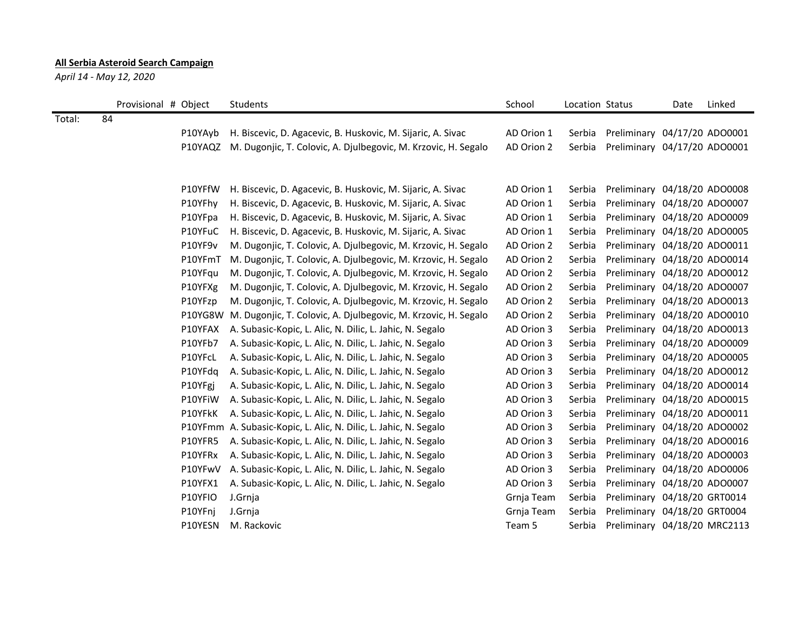## **All Serbia Asteroid Search Campaign**

*April 14 - May 12, 2020*

|        | Provisional # Object |         | <b>Students</b>                                                  | School     | Location Status |                              | Date | Linked |
|--------|----------------------|---------|------------------------------------------------------------------|------------|-----------------|------------------------------|------|--------|
| Total: | 84                   |         |                                                                  |            |                 |                              |      |        |
|        |                      | P10YAyb | H. Biscevic, D. Agacevic, B. Huskovic, M. Sijaric, A. Sivac      | AD Orion 1 | Serbia          | Preliminary 04/17/20 ADO0001 |      |        |
|        |                      | P10YAQZ | M. Dugonjic, T. Colovic, A. Djulbegovic, M. Krzovic, H. Segalo   | AD Orion 2 | Serbia          | Preliminary 04/17/20 ADO0001 |      |        |
|        |                      |         |                                                                  |            |                 |                              |      |        |
|        |                      |         |                                                                  |            |                 |                              |      |        |
|        |                      | P10YFfW | H. Biscevic, D. Agacevic, B. Huskovic, M. Sijaric, A. Sivac      | AD Orion 1 | Serbia          | Preliminary 04/18/20 ADO0008 |      |        |
|        |                      | P10YFhy | H. Biscevic, D. Agacevic, B. Huskovic, M. Sijaric, A. Sivac      | AD Orion 1 | Serbia          | Preliminary 04/18/20 ADO0007 |      |        |
|        |                      | P10YFpa | H. Biscevic, D. Agacevic, B. Huskovic, M. Sijaric, A. Sivac      | AD Orion 1 | Serbia          | Preliminary 04/18/20 ADO0009 |      |        |
|        |                      | P10YFuC | H. Biscevic, D. Agacevic, B. Huskovic, M. Sijaric, A. Sivac      | AD Orion 1 | Serbia          | Preliminary 04/18/20 ADO0005 |      |        |
|        |                      | P10YF9v | M. Dugonjic, T. Colovic, A. Djulbegovic, M. Krzovic, H. Segalo   | AD Orion 2 | Serbia          | Preliminary 04/18/20 ADO0011 |      |        |
|        |                      | P10YFmT | M. Dugonjic, T. Colovic, A. Djulbegovic, M. Krzovic, H. Segalo   | AD Orion 2 | Serbia          | Preliminary 04/18/20 ADO0014 |      |        |
|        |                      | P10YFqu | M. Dugonjic, T. Colovic, A. Djulbegovic, M. Krzovic, H. Segalo   | AD Orion 2 | Serbia          | Preliminary 04/18/20 ADO0012 |      |        |
|        |                      | P10YFXg | M. Dugonjic, T. Colovic, A. Djulbegovic, M. Krzovic, H. Segalo   | AD Orion 2 | Serbia          | Preliminary 04/18/20 ADO0007 |      |        |
|        |                      | P10YFzp | M. Dugonjic, T. Colovic, A. Djulbegovic, M. Krzovic, H. Segalo   | AD Orion 2 | Serbia          | Preliminary 04/18/20 ADO0013 |      |        |
|        |                      | P10YG8W | M. Dugonjic, T. Colovic, A. Djulbegovic, M. Krzovic, H. Segalo   | AD Orion 2 | Serbia          | Preliminary 04/18/20 ADO0010 |      |        |
|        |                      | P10YFAX | A. Subasic-Kopic, L. Alic, N. Dilic, L. Jahic, N. Segalo         | AD Orion 3 | Serbia          | Preliminary 04/18/20 ADO0013 |      |        |
|        |                      | P10YFb7 | A. Subasic-Kopic, L. Alic, N. Dilic, L. Jahic, N. Segalo         | AD Orion 3 | Serbia          | Preliminary 04/18/20 ADO0009 |      |        |
|        |                      | P10YFcL | A. Subasic-Kopic, L. Alic, N. Dilic, L. Jahic, N. Segalo         | AD Orion 3 | Serbia          | Preliminary 04/18/20 ADO0005 |      |        |
|        |                      | P10YFdq | A. Subasic-Kopic, L. Alic, N. Dilic, L. Jahic, N. Segalo         | AD Orion 3 | Serbia          | Preliminary 04/18/20 ADO0012 |      |        |
|        |                      | P10YFgj | A. Subasic-Kopic, L. Alic, N. Dilic, L. Jahic, N. Segalo         | AD Orion 3 | Serbia          | Preliminary 04/18/20 ADO0014 |      |        |
|        |                      | P10YFiW | A. Subasic-Kopic, L. Alic, N. Dilic, L. Jahic, N. Segalo         | AD Orion 3 | Serbia          | Preliminary 04/18/20 ADO0015 |      |        |
|        |                      | P10YFkK | A. Subasic-Kopic, L. Alic, N. Dilic, L. Jahic, N. Segalo         | AD Orion 3 | Serbia          | Preliminary 04/18/20 ADO0011 |      |        |
|        |                      |         | P10YFmm A. Subasic-Kopic, L. Alic, N. Dilic, L. Jahic, N. Segalo | AD Orion 3 | Serbia          | Preliminary 04/18/20 ADO0002 |      |        |
|        |                      | P10YFR5 | A. Subasic-Kopic, L. Alic, N. Dilic, L. Jahic, N. Segalo         | AD Orion 3 | Serbia          | Preliminary 04/18/20 ADO0016 |      |        |
|        |                      | P10YFRx | A. Subasic-Kopic, L. Alic, N. Dilic, L. Jahic, N. Segalo         | AD Orion 3 | Serbia          | Preliminary 04/18/20 ADO0003 |      |        |
|        |                      | P10YFwV | A. Subasic-Kopic, L. Alic, N. Dilic, L. Jahic, N. Segalo         | AD Orion 3 | Serbia          | Preliminary 04/18/20 ADO0006 |      |        |
|        |                      | P10YFX1 | A. Subasic-Kopic, L. Alic, N. Dilic, L. Jahic, N. Segalo         | AD Orion 3 | Serbia          | Preliminary 04/18/20 ADO0007 |      |        |
|        |                      | P10YFIO | J.Grnja                                                          | Grnja Team | Serbia          | Preliminary 04/18/20 GRT0014 |      |        |
|        |                      | P10YFnj | J.Grnja                                                          | Grnja Team | Serbia          | Preliminary 04/18/20 GRT0004 |      |        |
|        |                      | P10YESN | M. Rackovic                                                      | Team 5     | Serbia          | Preliminary 04/18/20 MRC2113 |      |        |
|        |                      |         |                                                                  |            |                 |                              |      |        |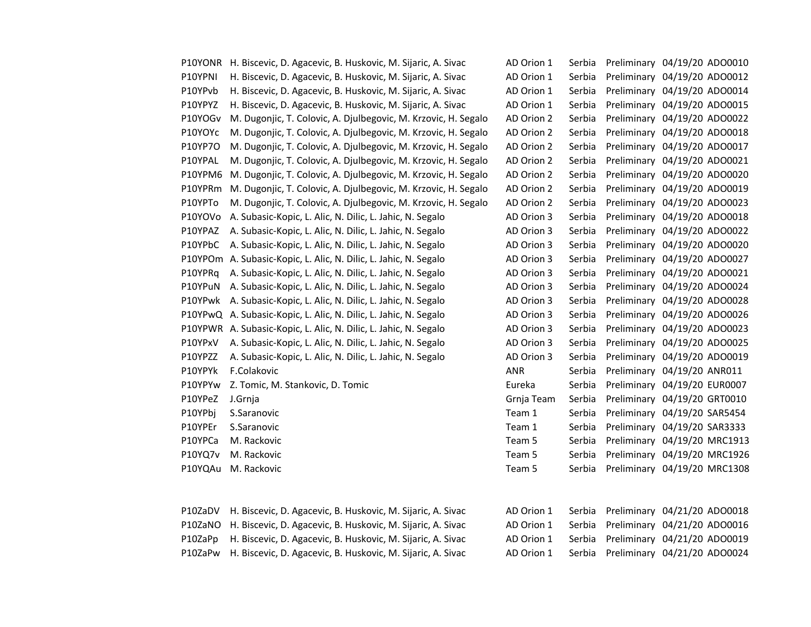| P10YONR | H. Biscevic, D. Agacevic, B. Huskovic, M. Sijaric, A. Sivac      | AD Orion 1 | Serbia | Preliminary 04/19/20 ADO0010 |
|---------|------------------------------------------------------------------|------------|--------|------------------------------|
| P10YPNI | H. Biscevic, D. Agacevic, B. Huskovic, M. Sijaric, A. Sivac      | AD Orion 1 | Serbia | Preliminary 04/19/20 ADO0012 |
| P10YPvb | H. Biscevic, D. Agacevic, B. Huskovic, M. Sijaric, A. Sivac      | AD Orion 1 | Serbia | Preliminary 04/19/20 ADO0014 |
| P10YPYZ | H. Biscevic, D. Agacevic, B. Huskovic, M. Sijaric, A. Sivac      | AD Orion 1 | Serbia | Preliminary 04/19/20 ADO0015 |
| P10YOGv | M. Dugonjic, T. Colovic, A. Djulbegovic, M. Krzovic, H. Segalo   | AD Orion 2 | Serbia | Preliminary 04/19/20 ADO0022 |
| P10YOYc | M. Dugonjic, T. Colovic, A. Djulbegovic, M. Krzovic, H. Segalo   | AD Orion 2 | Serbia | Preliminary 04/19/20 ADO0018 |
| P10YP7O | M. Dugonjic, T. Colovic, A. Djulbegovic, M. Krzovic, H. Segalo   | AD Orion 2 | Serbia | Preliminary 04/19/20 ADO0017 |
| P10YPAL | M. Dugonjic, T. Colovic, A. Djulbegovic, M. Krzovic, H. Segalo   | AD Orion 2 | Serbia | Preliminary 04/19/20 ADO0021 |
| P10YPM6 | M. Dugonjic, T. Colovic, A. Djulbegovic, M. Krzovic, H. Segalo   | AD Orion 2 | Serbia | Preliminary 04/19/20 ADO0020 |
| P10YPRm | M. Dugonjic, T. Colovic, A. Djulbegovic, M. Krzovic, H. Segalo   | AD Orion 2 | Serbia | Preliminary 04/19/20 ADO0019 |
| P10YPTo | M. Dugonjic, T. Colovic, A. Djulbegovic, M. Krzovic, H. Segalo   | AD Orion 2 | Serbia | Preliminary 04/19/20 ADO0023 |
| P10YOVo | A. Subasic-Kopic, L. Alic, N. Dilic, L. Jahic, N. Segalo         | AD Orion 3 | Serbia | Preliminary 04/19/20 ADO0018 |
| P10YPAZ | A. Subasic-Kopic, L. Alic, N. Dilic, L. Jahic, N. Segalo         | AD Orion 3 | Serbia | Preliminary 04/19/20 ADO0022 |
| P10YPbC | A. Subasic-Kopic, L. Alic, N. Dilic, L. Jahic, N. Segalo         | AD Orion 3 | Serbia | Preliminary 04/19/20 ADO0020 |
|         | P10YPOm A. Subasic-Kopic, L. Alic, N. Dilic, L. Jahic, N. Segalo | AD Orion 3 | Serbia | Preliminary 04/19/20 ADO0027 |
| P10YPRq | A. Subasic-Kopic, L. Alic, N. Dilic, L. Jahic, N. Segalo         | AD Orion 3 | Serbia | Preliminary 04/19/20 ADO0021 |
| P10YPuN | A. Subasic-Kopic, L. Alic, N. Dilic, L. Jahic, N. Segalo         | AD Orion 3 | Serbia | Preliminary 04/19/20 ADO0024 |
| P10YPwk | A. Subasic-Kopic, L. Alic, N. Dilic, L. Jahic, N. Segalo         | AD Orion 3 | Serbia | Preliminary 04/19/20 ADO0028 |
|         | P10YPwQ A. Subasic-Kopic, L. Alic, N. Dilic, L. Jahic, N. Segalo | AD Orion 3 | Serbia | Preliminary 04/19/20 ADO0026 |
|         | P10YPWR A. Subasic-Kopic, L. Alic, N. Dilic, L. Jahic, N. Segalo | AD Orion 3 | Serbia | Preliminary 04/19/20 ADO0023 |
| P10YPxV | A. Subasic-Kopic, L. Alic, N. Dilic, L. Jahic, N. Segalo         | AD Orion 3 | Serbia | Preliminary 04/19/20 ADO0025 |
| P10YPZZ | A. Subasic-Kopic, L. Alic, N. Dilic, L. Jahic, N. Segalo         | AD Orion 3 | Serbia | Preliminary 04/19/20 ADO0019 |
| P10YPYk | F.Colakovic                                                      | <b>ANR</b> | Serbia | Preliminary 04/19/20 ANR011  |
| P10YPYw | Z. Tomic, M. Stankovic, D. Tomic                                 | Eureka     | Serbia | Preliminary 04/19/20 EUR0007 |
| P10YPeZ | J.Grnja                                                          | Grnja Team | Serbia | Preliminary 04/19/20 GRT0010 |
| P10YPbj | S.Saranovic                                                      | Team 1     | Serbia | Preliminary 04/19/20 SAR5454 |
| P10YPEr | S.Saranovic                                                      | Team 1     | Serbia | Preliminary 04/19/20 SAR3333 |
| P10YPCa | M. Rackovic                                                      | Team 5     | Serbia | Preliminary 04/19/20 MRC1913 |
| P10YQ7v | M. Rackovic                                                      | Team 5     | Serbia | Preliminary 04/19/20 MRC1926 |
| P10YQAu | M. Rackovic                                                      | Team 5     | Serbia | Preliminary 04/19/20 MRC1308 |
|         |                                                                  |            |        |                              |
| P10ZaDV | H. Biscevic, D. Agacevic, B. Huskovic, M. Sijaric, A. Sivac      | AD Orion 1 | Serbia | Preliminary 04/21/20 ADO0018 |

| AD Orion 1        | Serbia | Preliminary |                  | 04/19/20 ADO0010 |
|-------------------|--------|-------------|------------------|------------------|
| AD Orion 1        | Serbia | Preliminary |                  | 04/19/20 ADO0012 |
| AD Orion 1        | Serbia | Preliminary |                  | 04/19/20 ADO0014 |
| AD Orion 1        | Serbia | Preliminary |                  | 04/19/20 ADO0015 |
| <b>AD Orion 2</b> | Serbia | Preliminary |                  | 04/19/20 ADO0022 |
| <b>AD Orion 2</b> | Serbia | Preliminary |                  | 04/19/20 ADO0018 |
| <b>AD Orion 2</b> | Serbia | Preliminary |                  | 04/19/20 ADO0017 |
| <b>AD Orion 2</b> | Serbia | Preliminary |                  | 04/19/20 ADO0021 |
| <b>AD Orion 2</b> | Serbia | Preliminary |                  | 04/19/20 ADO0020 |
| <b>AD Orion 2</b> | Serbia | Preliminary |                  | 04/19/20 ADO0019 |
| <b>AD Orion 2</b> | Serbia | Preliminary |                  | 04/19/20 ADO0023 |
| <b>AD Orion 3</b> | Serbia | Preliminary |                  | 04/19/20 ADO0018 |
| AD Orion 3        | Serbia | Preliminary |                  | 04/19/20 ADO0022 |
| AD Orion 3        | Serbia | Preliminary |                  | 04/19/20 ADO0020 |
| <b>AD Orion 3</b> | Serbia | Preliminary |                  | 04/19/20 ADO0027 |
| <b>AD Orion 3</b> | Serbia | Preliminary |                  | 04/19/20 ADO0021 |
| AD Orion 3        | Serbia | Preliminary |                  | 04/19/20 ADO0024 |
| <b>AD Orion 3</b> | Serbia | Preliminary |                  | 04/19/20 ADO0028 |
| AD Orion 3        | Serbia | Preliminary |                  | 04/19/20 ADO0026 |
| <b>AD Orion 3</b> | Serbia | Preliminary |                  | 04/19/20 ADO0023 |
| AD Orion 3        | Serbia | Preliminary |                  | 04/19/20 ADO0025 |
| AD Orion 3        | Serbia | Preliminary |                  | 04/19/20 ADO0019 |
| ANR               | Serbia | Preliminary | 04/19/20 ANR011  |                  |
| Eureka            | Serbia | Preliminary | 04/19/20 EUR0007 |                  |
| Grnja Team        | Serbia | Preliminary | 04/19/20 GRT0010 |                  |
| Feam 1            | Serbia | Preliminary | 04/19/20 SAR5454 |                  |
| Feam 1            | Serbia | Preliminary | 04/19/20 SAR3333 |                  |
| Feam 5            | Serbia | Preliminary |                  | 04/19/20 MRC1913 |
| Feam 5            | Serbia | Preliminary |                  | 04/19/20 MRC1926 |
| Feam 5            | Serbia | Preliminary |                  | 04/19/20 MRC1308 |
|                   |        |             |                  |                  |

| P10ZaDV – H. Biscevic, D. Agacevic, B. Huskovic, M. Sijaric, A. Sivac |  | AD Orion 1 Serbia Preliminary 04/21/20 ADO0018 |
|-----------------------------------------------------------------------|--|------------------------------------------------|
| P10ZaNO H. Biscevic, D. Agacevic, B. Huskovic, M. Sijaric, A. Sivac   |  | AD Orion 1 Serbia Preliminary 04/21/20 ADO0016 |
| P10ZaPp H. Biscevic, D. Agacevic, B. Huskovic, M. Sijaric, A. Sivac   |  | AD Orion 1 Serbia Preliminary 04/21/20 ADO0019 |
| P10ZaPw H. Biscevic, D. Agacevic, B. Huskovic, M. Sijaric, A. Sivac   |  | AD Orion 1 Serbia Preliminary 04/21/20 ADO0024 |

| AD Orion 1 | Serbia Preliminary 04/21/20 ADO0018 |  |
|------------|-------------------------------------|--|
| AD Orion 1 | Serbia Preliminary 04/21/20 ADO0016 |  |
| AD Orion 1 | Serbia Preliminary 04/21/20 ADO0019 |  |
| AD Orion 1 | Serbia Preliminary 04/21/20 ADO0024 |  |